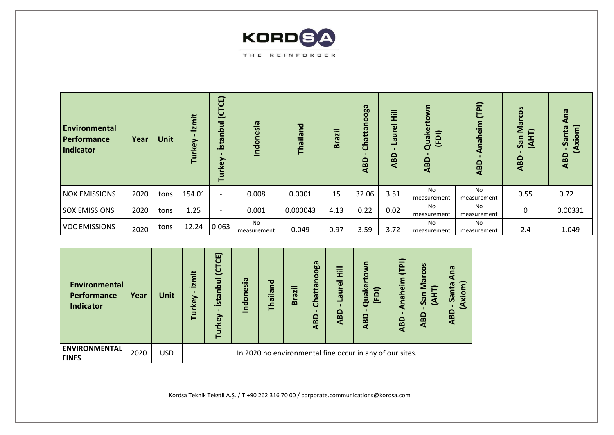

| Environmental<br>Performance<br>Indicator | Year | <b>Unit</b> | <i>izmit</i><br>Turkey | (CTCE)<br><u>ind</u><br>$\mathbf{C}$<br>ista<br>rkey<br>흔 | Indonesia                | Thailand | <b>Brazil</b> | Chattanooga<br><b>ABD</b> | Ē<br>$\overline{e}$<br>Б<br><b>ID</b><br>ABD | (FDI)<br>Quake<br><b>ABD</b> | (TPI)<br>Anaheim<br><b>ABD</b> | COS<br><b>e</b><br>╒<br>н.<br>К<br>San<br><b>ABD</b> | Ana<br>(Axiom)<br>$\overline{\mathbf{c}}$<br>ē<br>ౙ<br><b>ABD</b> |
|-------------------------------------------|------|-------------|------------------------|-----------------------------------------------------------|--------------------------|----------|---------------|---------------------------|----------------------------------------------|------------------------------|--------------------------------|------------------------------------------------------|-------------------------------------------------------------------|
| <b>NOX EMISSIONS</b>                      | 2020 | tons        | 154.01                 | $\overline{\phantom{a}}$                                  | 0.008                    | 0.0001   | 15            | 32.06                     | 3.51                                         | No.<br>measurement           | No<br>measurement              | 0.55                                                 | 0.72                                                              |
| <b>SOX EMISSIONS</b>                      | 2020 | tons        | 1.25                   | $\overline{\phantom{a}}$                                  | 0.001                    | 0.000043 | 4.13          | 0.22                      | 0.02                                         | No.<br>measurement           | No<br>measurement              | 0                                                    | 0.00331                                                           |
| <b>VOC EMISSIONS</b>                      | 2020 | tons        | 12.24                  | 0.063                                                     | <b>No</b><br>measurement | 0.049    | 0.97          | 3.59                      | 3.72                                         | No.<br>measurement           | No<br>measurement              | 2.4                                                  | 1.049                                                             |

| Environmental<br>Performance<br>Indicator | Year | <b>Unit</b> | <b>izmit</b><br>rkey<br>흔 | İstanbul (CTCE)<br>Turkey                                | Indonesia | Thailand | <b>Brazil</b> | Chattanooga<br><b>ABD</b> | Laurel Hill<br>ABD | đ<br>$\overline{P}$<br>≏<br>$\mathbf{a}$ | (TPI)<br>Anaheim<br><b>ABD</b> | COS<br><b>I</b> eM<br>San<br>$\overline{4}$<br><b>ABD</b> | eu<br>တ္တ<br><b>ABD</b> |
|-------------------------------------------|------|-------------|---------------------------|----------------------------------------------------------|-----------|----------|---------------|---------------------------|--------------------|------------------------------------------|--------------------------------|-----------------------------------------------------------|-------------------------|
| <b>ENVIRONMENTAL</b><br><b>FINES</b>      | 2020 | <b>USD</b>  |                           | In 2020 no environmental fine occur in any of our sites. |           |          |               |                           |                    |                                          |                                |                                                           |                         |

Kordsa Teknik Tekstil A.Ş. / T:+90 262 316 70 00 / [corporate.communications@kordsa.com](mailto:corporate.communications@kordsa.com)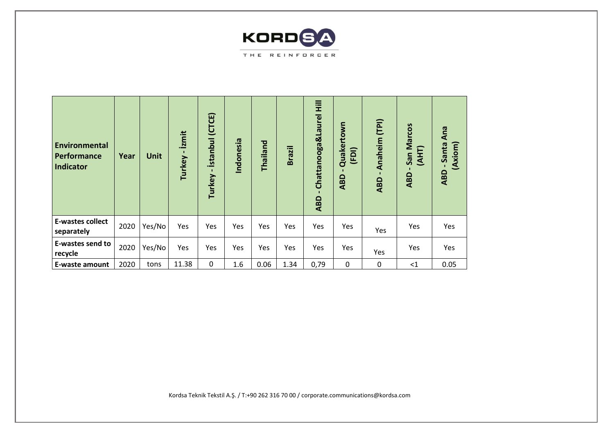

| <b>Environmental</b><br>Performance<br><b>Indicator</b> | Year | Unit   | izmit<br>Turkey | İstanbul (CTCE)<br>п.<br>Turkey | Indonesia | Thailand | <b>Brazil</b> | Chattanooga&Laurel Hill<br><b>ABD</b> | Quakertown<br>(FDI)<br><b>ABD</b> | Anaheim (TPI)<br>ABD | San Marcos<br>(AHT)<br><b>ABD</b> | Ana<br>Santa<br>(Axiom)<br><b>ABD</b> |
|---------------------------------------------------------|------|--------|-----------------|---------------------------------|-----------|----------|---------------|---------------------------------------|-----------------------------------|----------------------|-----------------------------------|---------------------------------------|
| <b>E-wastes collect</b><br>separately                   | 2020 | Yes/No | Yes             | Yes                             | Yes       | Yes      | Yes           | Yes                                   | Yes                               | Yes                  | Yes                               | Yes                                   |
| E-wastes send to<br>recycle                             | 2020 | Yes/No | Yes             | Yes                             | Yes       | Yes      | Yes           | Yes                                   | Yes                               | Yes                  | Yes                               | Yes                                   |
| E-waste amount                                          | 2020 | tons   | 11.38           | $\mathbf 0$                     | 1.6       | 0.06     | 1.34          | 0,79                                  | $\mathbf 0$                       | 0                    | <1                                | 0.05                                  |

Kordsa Teknik Tekstil A.Ş. / T:+90 262 316 70 00 / [corporate.communications@kordsa.com](mailto:corporate.communications@kordsa.com)